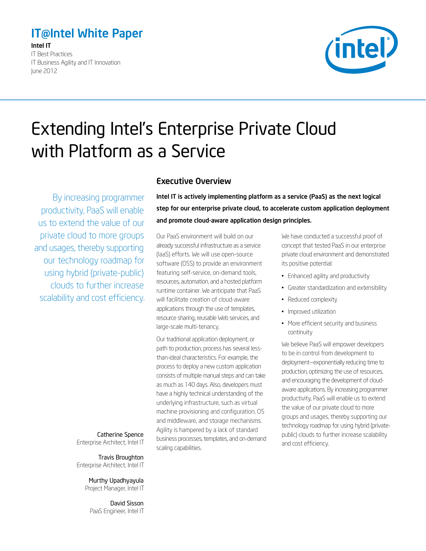# <span id="page-0-0"></span>IT@Intel White Paper

Intel IT IT Best Practices IT Business Agility and IT Innovation June 2012



# Extending Intel's Enterprise Private Cloud with Platform as a Service

By increasing programmer productivity, PaaS will enable us to extend the value of our private cloud to more groups and usages, thereby supporting our technology roadmap for using hybrid (private-public) clouds to further increase scalability and cost efficiency.

> Catherine Spence Enterprise Architect, Intel IT

> Travis Broughton Enterprise Architect, Intel IT

> > Murthy Upadhyayula Project Manager, Intel IT

David Sisson PaaS Engineer, Intel IT

### Executive Overview

Intel IT is actively implementing platform as a service (PaaS) as the next logical step for our enterprise private cloud, to accelerate custom application deployment and promote cloud-aware application design principles.

Our PaaS environment will build on our already successful infrastructure as a service (IaaS) efforts. We will use open-source software (OSS) to provide an environment featuring self-service, on-demand tools, resources, automation, and a hosted platform runtime container. We anticipate that PaaS will facilitate creation of cloud-aware applications through the use of templates, resource sharing, reusable Web services, and large-scale multi-tenancy.

Our traditional application deployment, or path to production, process has several lessthan-ideal characteristics. For example, the process to deploy a new custom application consists of multiple manual steps and can take as much as 140 days. Also, developers must have a highly technical understanding of the underlying infrastructure, such as virtual machine provisioning and configuration, OS and middleware, and storage mechanisms. Agility is hampered by a lack of standard business processes, templates, and on-demand scaling capabilities.

We have conducted a successful proof of concept that tested PaaS in our enterprise private cloud environment and demonstrated its positive potential:

- Enhanced agility and productivity
- Greater standardization and extensibility
- Reduced complexity
- Improved utilization
- More efficient security and business continuity

We believe PaaS will empower developers to be in control from development to deployment—exponentially reducing time to production, optimizing the use of resources, and encouraging the development of cloudaware applications. By increasing programmer productivity, PaaS will enable us to extend the value of our private cloud to more groups and usages, thereby supporting our technology roadmap for using hybrid (privatepublic) clouds to further increase scalability and cost efficiency.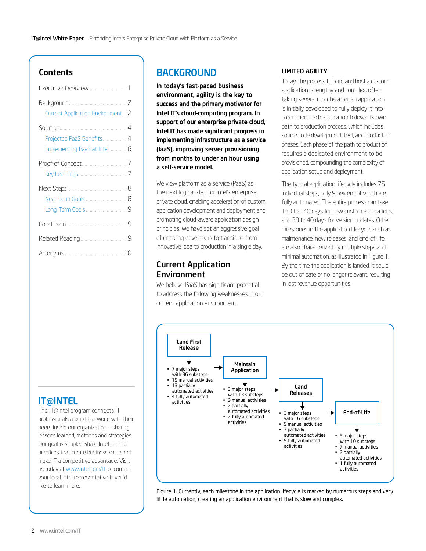# **Contents**

| Executive Overview 1                                      |
|-----------------------------------------------------------|
| 2<br>Current Application Environment 2                    |
| Projected PaaS Benefits 4<br>Implementing PaaS at Intel 6 |
|                                                           |
| Near-Term Goals  8                                        |
|                                                           |
|                                                           |
|                                                           |

# IT@INTEL

The IT@Intel program connects IT professionals around the world with their peers inside our organization – sharing lessons learned, methods and strategies. Our goal is simple: Share Intel IT best practices that create business value and make IT a competitive advantage. Visit us today at [www.intel.com/IT](http://www.intel.com/IT) or contact your local Intel representative if you'd like to learn more.

# **BACKGROUND**

In today's fast-paced business environment, agility is the key to success and the primary motivator for Intel IT's cloud-computing program. In support of our enterprise private cloud, Intel IT has made significant progress in implementing infrastructure as a service (IaaS), improving server provisioning from months to under an hour using a self-service model.

We view platform as a service (PaaS) as the next logical step for Intel's enterprise private cloud, enabling acceleration of custom application development and deployment and promoting cloud-aware application design principles. We have set an aggressive goal of enabling developers to transition from innovative idea to production in a single day.

## Current Application Environment

We believe PaaS has significant potential to address the following weaknesses in our current application environment.

#### LIMITED AGILITY

Today, the process to build and host a custom application is lengthy and complex, often taking several months after an application is initially developed to fully deploy it into production. Each application follows its own path to production process, which includes source code development, test, and production phases. Each phase of the path to production requires a dedicated environment to be provisioned, compounding the complexity of application setup and deployment.

The typical application lifecycle includes 75 individual steps, only 9 percent of which are fully automated. The entire process can take 130 to 140 days for new custom applications, and 30 to 40 days for version updates. Other milestones in the application lifecycle, such as maintenance, new releases, and end-of-life, are also characterized by multiple steps and minimal automation, as illustrated in Figure 1. By the time the application is landed, it could be out of date or no longer relevant, resulting in lost revenue opportunities.



Figure 1. Currently, each milestone in the application lifecycle is marked by numerous steps and very little automation, creating an application environment that is slow and complex.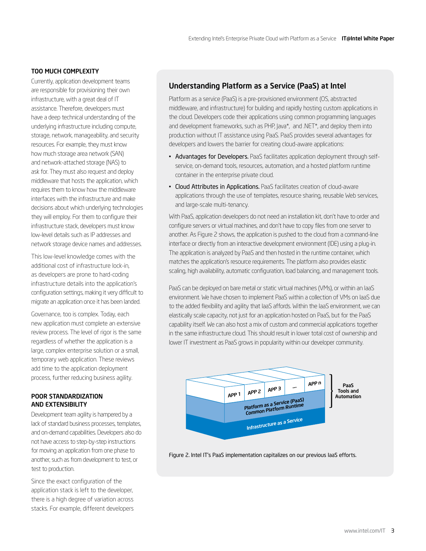#### TOO MUCH COMPLEXITY

Currently, application development teams are responsible for provisioning their own infrastructure, with a great deal of IT assistance. Therefore, developers must have a deep technical understanding of the underlying infrastructure including compute, storage, network, manageability, and security resources. For example, they must know how much storage area network (SAN) and network-attached storage (NAS) to ask for. They must also request and deploy middleware that hosts the application, which requires them to know how the middleware interfaces with the infrastructure and make decisions about which underlying technologies they will employ. For them to configure their infrastructure stack, developers must know low-level details such as IP addresses and network storage device names and addresses.

This low-level knowledge comes with the additional cost of infrastructure lock-in, as developers are prone to hard-coding infrastructure details into the application's configuration settings, making it very difficult to migrate an application once it has been landed.

Governance, too is complex. Today, each new application must complete an extensive review process. The level of rigor is the same regardless of whether the application is a large, complex enterprise solution or a small, temporary web application. These reviews add time to the application deployment process, further reducing business agility.

#### POOR STANDARDIZATION AND EXTENSIBILITY

Development team agility is hampered by a lack of standard business processes, templates, and on-demand capabilities. Developers also do not have access to step-by-step instructions for moving an application from one phase to another, such as from development to test, or test to production.

Since the exact configuration of the application stack is left to the developer, there is a high degree of variation across stacks. For example, different developers

### Understanding Platform as a Service (PaaS) at Intel

Platform as a service (PaaS) is a pre-provisioned environment (OS, abstracted middleware, and infrastructure) for building and rapidly hosting custom applications in the cloud. Developers code their applications using common programming languages and development frameworks, such as PHP, Java\*, and .NET\*, and deploy them into production without IT assistance using PaaS. PaaS provides several advantages for developers and lowers the barrier for creating cloud-aware applications:

- Advantages for Developers. PaaS facilitates application deployment through selfservice, on-demand tools, resources, automation, and a hosted platform runtime container in the enterprise private cloud.
- Cloud Attributes in Applications. PaaS facilitates creation of cloud-aware applications through the use of templates, resource sharing, reusable Web services, and large-scale multi-tenancy.

With PaaS, application developers do not need an installation kit, don't have to order and configure servers or virtual machines, and don't have to copy files from one server to another. As Figure 2 shows, the application is pushed to the cloud from a command-line interface or directly from an interactive development environment (IDE) using a plug-in. The application is analyzed by PaaS and then hosted in the runtime container, which matches the application's resource requirements. The platform also provides elastic scaling, high availability, automatic configuration, load balancing, and management tools.

PaaS can be deployed on bare metal or static virtual machines (VMs), or within an IaaS environment. We have chosen to implement PaaS within a collection of VMs on IaaS due to the added flexibility and agility that IaaS affords. Within the IaaS environment, we can elastically scale capacity, not just for an application hosted on PaaS, but for the PaaS capability itself. We can also host a mix of custom and commercial applications together in the same infrastructure cloud. This should result in lower total cost of ownership and lower IT investment as PaaS grows in popularity within our developer community.



Figure 2. Intel IT's PaaS implementation capitalizes on our previous IaaS efforts.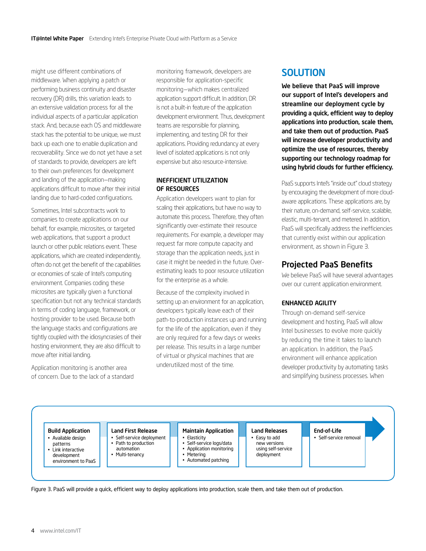<span id="page-3-0"></span>might use different combinations of middleware. When applying a patch or performing business continuity and disaster recovery (DR) drills, this variation leads to an extensive validation process for all the individual aspects of a particular application stack. And, because each OS and middleware stack has the potential to be unique, we must back up each one to enable duplication and recoverability. Since we do not yet have a set of standards to provide, developers are left to their own preferences for development and landing of the application—making applications difficult to move after their initial landing due to hard-coded configurations.

Sometimes, Intel subcontracts work to companies to create applications on our behalf, for example, microsites, or targeted web applications, that support a product launch or other public relations event. These applications, which are created independently, often do not get the benefit of the capabilities or economies of scale of Intel's computing environment. Companies coding these microsites are typically given a functional specification but not any technical standards in terms of coding language, framework, or hosting provider to be used. Because both the language stacks and configurations are tightly coupled with the idiosyncrasies of their hosting environment, they are also difficult to move after initial landing.

Application monitoring is another area of concern. Due to the lack of a standard monitoring framework, developers are responsible for application-specific monitoring—which makes centralized application support difficult. In addition, DR is not a built-in feature of the application development environment. Thus, development teams are responsible for planning, implementing, and testing DR for their applications. Providing redundancy at every level of isolated applications is not only expensive but also resource-intensive.

#### INEFFICIENT UTILIZATION OF RESOURCES

Application developers want to plan for scaling their applications, but have no way to automate this process. Therefore, they often significantly over-estimate their resource requirements. For example, a developer may request far more compute capacity and storage than the application needs, just in case it might be needed in the future. Overestimating leads to poor resource utilization for the enterprise as a whole.

Because of the complexity involved in setting up an environment for an application, developers typically leave each of their path-to-production instances up and running for the life of the application, even if they are only required for a few days or weeks per release. This results in a large number of virtual or physical machines that are underutilized most of the time.

# **SOLUTION**

We believe that PaaS will improve our support of Intel's developers and streamline our deployment cycle by providing a quick, efficient way to deploy applications into production, scale them, and take them out of production. PaaS will increase developer productivity and optimize the use of resources, thereby supporting our technology roadmap for using hybrid clouds for further efficiency.

PaaS supports Intel's "inside out" cloud strategy by encouraging the development of more cloudaware applications. These applications are, by their nature, on-demand, self-service, scalable, elastic, multi-tenant, and metered. In addition, PaaS will specifically address the inefficiencies that currently exist within our application environment, as shown in Figure 3.

# Projected PaaS Benefits

We believe PaaS will have several advantages over our current application environment.

#### ENHANCED AGILITY

Through on-demand self-service development and hosting, PaaS will allow Intel businesses to evolve more quickly by reducing the time it takes to launch an application. In addition, the PaaS environment will enhance application developer productivity by automating tasks and simplifying business processes. When

#### Build Application

- Available design patterns
- Link interactive development environment to PaaS
- automation • Multi-tenancy

Land First Release Self-service deployment Path to production

#### Maintain Application **Elasticity**

- Self-service logs/data
- Application monitoring
- **Metering** • Automated patching
- new versions
	- using self-service deployment

Land Releases • Easy to add

End-of-Life

- Self-service removal
- Figure 3. PaaS will provide a quick, efficient way to deploy applications into production, scale them, and take them out of production.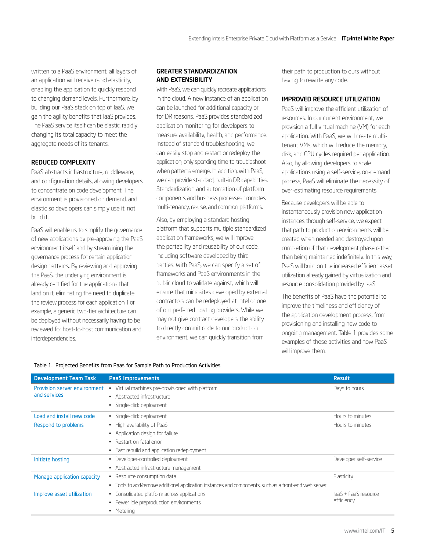written to a PaaS environment, all layers of an application will receive rapid elasticity, enabling the application to quickly respond to changing demand levels. Furthermore, by building our PaaS stack on top of IaaS, we gain the agility benefits that IaaS provides. The PaaS service itself can be elastic, rapidly changing its total capacity to meet the aggregate needs of its tenants.

### REDUCED COMPLEXITY

PaaS abstracts infrastructure, middleware, and configuration details, allowing developers to concentrate on code development. The environment is provisioned on demand, and elastic so developers can simply use it, not build it.

PaaS will enable us to simplify the governance of new applications by pre-approving the PaaS environment itself and by streamlining the governance process for certain application design patterns. By reviewing and approving the PaaS, the underlying environment is already certified for the applications that land on it, eliminating the need to duplicate the review process for each application. For example, a generic two-tier architecture can be deployed without necessarily having to be reviewed for host-to-host communication and interdependencies.

#### GREATER STANDARDIZATION AND EXTENSIBILITY

With PaaS, we can quickly recreate applications in the cloud. A new instance of an application can be launched for additional capacity or for DR reasons. PaaS provides standardized application monitoring for developers to measure availability, health, and performance. Instead of standard troubleshooting, we can easily stop and restart or redeploy the application, only spending time to troubleshoot when patterns emerge. In addition, with PaaS, we can provide standard, built-in DR capabilities. Standardization and automation of platform components and business processes promotes multi-tenancy, re-use, and common platforms.

Also, by employing a standard hosting platform that supports multiple standardized application frameworks, we will improve the portability and reusability of our code, including software developed by third parties. With PaaS, we can specify a set of frameworks and PaaS environments in the public cloud to validate against, which will ensure that microsites developed by external contractors can be redeployed at Intel or one of our preferred hosting providers. While we may not give contract developers the ability to directly commit code to our production environment, we can quickly transition from

their path to production to ours without having to rewrite any code.

#### IMPROVED RESOURCE UTILIZATION

PaaS will improve the efficient utilization of resources. In our current environment, we provision a full virtual machine (VM) for each application. With PaaS, we will create multitenant VMs, which will reduce the memory, disk, and CPU cycles required per application. Also, by allowing developers to scale applications using a self-service, on-demand process, PaaS will eliminate the necessity of over-estimating resource requirements.

Because developers will be able to instantaneously provision new application instances through self-service, we expect that path to production environments will be created when needed and destroyed upon completion of that development phase rather than being maintained indefinitely. In this way, PaaS will build on the increased efficient asset utilization already gained by virtualization and resource consolidation provided by IaaS.

The benefits of PaaS have the potential to improve the timeliness and efficiency of the application development process, from provisioning and installing new code to ongoing management. Table 1 provides some examples of these activities and how PaaS will improve them.

|  |  |  |  |  | Table 1. Projected Benefits from Paas for Sample Path to Production Activities |  |
|--|--|--|--|--|--------------------------------------------------------------------------------|--|
|  |  |  |  |  |                                                                                |  |

| <b>Development Team Task</b> | <b>PaaS Improvements</b>                                                                              | <b>Result</b>                      |
|------------------------------|-------------------------------------------------------------------------------------------------------|------------------------------------|
| Provision server environment | Virtual machines pre-provisioned with platform<br>٠                                                   | Days to hours                      |
| and services                 | • Abstracted infrastructure                                                                           |                                    |
|                              | Single-click deployment                                                                               |                                    |
| Load and install new code    | · Single-click deployment                                                                             | Hours to minutes                   |
| Respond to problems          | • High availability of PaaS                                                                           | Hours to minutes                   |
|                              | Application design for failure                                                                        |                                    |
|                              | Restart on fatal error<br>٠.                                                                          |                                    |
|                              | • Fast rebuild and application redeployment                                                           |                                    |
| Initiate hosting             | Developer-controlled deployment<br>٠                                                                  | Developer self-service             |
|                              | Abstracted infrastructure management                                                                  |                                    |
| Manage application capacity  | Resource consumption data<br>٠                                                                        | Elasticity                         |
|                              | • Tools to add/remove additional application instances and components, such as a front-end web server |                                    |
| Improve asset utilization    | Consolidated platform across applications                                                             | laaS + PaaS resource<br>efficiency |
|                              | Fewer idle preproduction environments                                                                 |                                    |
|                              | Metering                                                                                              |                                    |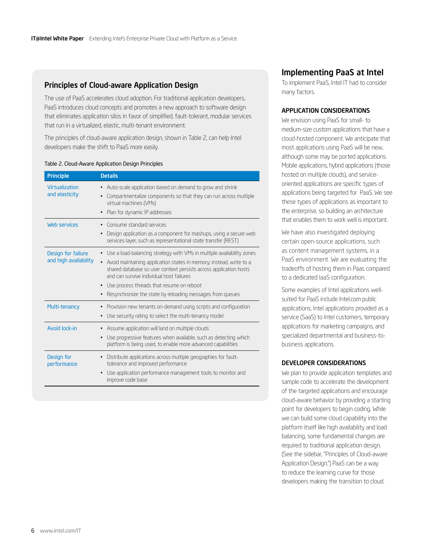### <span id="page-5-0"></span>Principles of Cloud-aware Application Design

The use of PaaS accelerates cloud adoption. For traditional application developers, PaaS introduces cloud concepts and promotes a new approach to software design that eliminates application silos in favor of simplified, fault-tolerant, modular services that run in a virtualized, elastic, multi-tenant environment.

The principles of cloud-aware application design, shown in Table 2, can help Intel developers make the shift to PaaS more easily.

#### Table 2. Cloud-Aware Application Design Principles

| <b>Principle</b>                            | <b>Details</b>                                                                                                                                                                                                                                                                                                                                                                 |
|---------------------------------------------|--------------------------------------------------------------------------------------------------------------------------------------------------------------------------------------------------------------------------------------------------------------------------------------------------------------------------------------------------------------------------------|
| Virtualization<br>and elasticity            | Auto-scale application based on demand to grow and shrink<br>Compartmentalize components so that they can run across multiple<br>virtual machines (VMs)<br>Plan for dynamic IP addresses                                                                                                                                                                                       |
| Web services                                | Consume standard services<br>Design application as a component for mashups, using a secure web<br>services layer, such as representational state transfer (REST)                                                                                                                                                                                                               |
| Design for failure<br>and high availability | • Use a load-balancing strategy with VMs in multiple availability zones<br>Avoid maintaining application states in memory; instead, write to a<br>shared database so user context persists across application hosts<br>and can survive individual host failures<br>Use process threads that resume on reboot<br>٠<br>Resynchronize the state by reloading messages from queues |
| Multi-tenancy                               | Provision new tenants on-demand using scripts and configuration<br>Use security rating to select the multi-tenancy model                                                                                                                                                                                                                                                       |
| Avoid lock-in                               | Assume application will land on multiple clouds<br>Use progressive features when available, such as detecting which<br>$\blacksquare$<br>platform is being used, to enable more advanced capabilities                                                                                                                                                                          |
| Design for<br>performance                   | Distribute applications across multiple geographies for fault-<br>tolerance and improved performance<br>Use application performance management tools to monitor and<br>improve code base                                                                                                                                                                                       |

### Implementing PaaS at Intel

To implement PaaS, Intel IT had to consider many factors.

#### APPLICATION CONSIDERATIONS

We envision using PaaS for small- to medium-size custom applications that have a cloud-hosted component. We anticipate that most applications using PaaS will be new, although some may be ported applications. Mobile applications, hybrid applications (those hosted on multiple clouds), and serviceoriented applications are specific types of applications being targeted for PaaS. We see these types of applications as important to the enterprise, so building an architecture that enables them to work well is important.

We have also investigated deploying certain open-source applications, such as content management systems, in a PaaS environment. We are evaluating the tradeoffs of hosting them in Paas compared to a dedicated IaaS configuration.

Some examples of Intel applications wellsuited for PaaS include Intel.com public applications, Intel applications provided as a service (SaaS) to Intel customers, temporary applications for marketing campaigns, and specialized departmental and business-tobusiness applications.

#### DEVELOPER CONSIDERATIONS

We plan to provide application templates and sample code to accelerate the development of the targeted applications and encourage cloud-aware behavior by providing a starting point for developers to begin coding. While we can build some cloud capability into the platform itself like high availability and load balancing, some fundamental changes are required to traditional application design. (See the sidebar, "Principles of Cloud-aware Application Design.") PaaS can be a way to reduce the learning curve for those developers making the transition to cloud.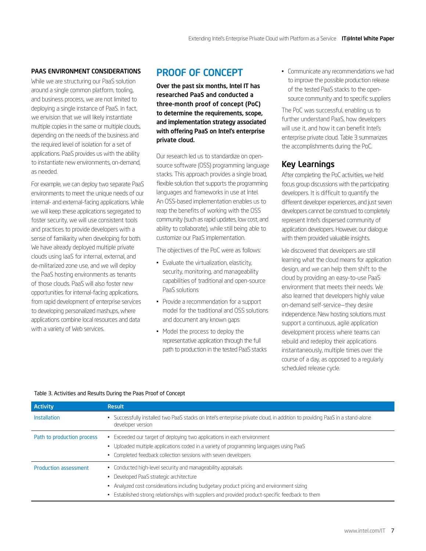#### <span id="page-6-0"></span>PAAS ENVIRONMENT CONSIDERATIONS

While we are structuring our PaaS solution around a single common platform, tooling, and business process, we are not limited to deploying a single instance of PaaS. In fact, we envision that we will likely instantiate multiple copies in the same or multiple clouds, depending on the needs of the business and the required level of isolation for a set of applications. PaaS provides us with the ability to instantiate new environments, on-demand, as needed.

For example, we can deploy two separate PaaS environments to meet the unique needs of our internal- and external-facing applications. While we will keep these applications segregated to foster security, we will use consistent tools and practices to provide developers with a sense of familiarity when developing for both. We have already deployed multiple private clouds using IaaS for internal, external, and de-militarized zone use, and we will deploy the PaaS hosting environments as tenants of those clouds. PaaS will also foster new opportunities for internal-facing applications, from rapid development of enterprise services to developing personalized mashups, where applications combine local resources and data with a variety of Web services.

# PROOF OF CONCEPT

Over the past six months, Intel IT has researched PaaS and conducted a three-month proof of concept (PoC) to determine the requirements, scope, and implementation strategy associated with offering PaaS on Intel's enterprise private cloud.

Our research led us to standardize on opensource software (OSS) programming language stacks. This approach provides a single broad, flexible solution that supports the programming languages and frameworks in use at Intel. An OSS-based implementation enables us to reap the benefits of working with the OSS community (such as rapid updates, low cost, and ability to collaborate), while still being able to customize our PaaS implementation.

The objectives of the PoC were as follows:

- Evaluate the virtualization, elasticity, security, monitoring, and manageability capabilities of traditional and open-source PaaS solutions
- • Provide a recommendation for a support model for the traditional and OSS solutions and document any known gaps
- Model the process to deploy the representative application through the full path to production in the tested PaaS stacks

• Communicate any recommendations we had to improve the possible production release of the tested PaaS stacks to the opensource community and to specific suppliers

The PoC was successful, enabling us to further understand PaaS, how developers will use it, and how it can benefit Intel's enterprise private cloud. Table 3 summarizes the accomplishments during the PoC.

# Key Learnings

After completing the PoC activities, we held focus group discussions with the participating developers. It is difficult to quantify the different developer experiences, and just seven developers cannot be construed to completely represent Intel's dispersed community of application developers. However, our dialogue with them provided valuable insights.

We discovered that developers are still learning what the cloud means for application design, and we can help them shift to the cloud by providing an easy-to-use PaaS environment that meets their needs. We also learned that developers highly value on-demand self-service—they desire independence. New hosting solutions must support a continuous, agile application development process where teams can rebuild and redeploy their applications instantaneously, multiple times over the course of a day, as opposed to a regularly scheduled release cycle.

| <b>Activity</b>              | <b>Result</b>                                                                                                                                                                                                                                                                                            |
|------------------------------|----------------------------------------------------------------------------------------------------------------------------------------------------------------------------------------------------------------------------------------------------------------------------------------------------------|
| Installation                 | • Successfully installed two PaaS stacks on Intel's enterprise private cloud, in addition to providing PaaS in a stand-alone<br>developer version                                                                                                                                                        |
| Path to production process   | • Exceeded our target of deploying two applications in each environment<br>• Uploaded multiple applications coded in a variety of programming languages using PaaS<br>• Completed feedback collection sessions with seven developers                                                                     |
| <b>Production assessment</b> | • Conducted high-level security and manageability appraisals<br>• Developed PaaS strategic architecture<br>• Analyzed cost considerations including budgetary product pricing and environment sizing<br>• Established strong relationships with suppliers and provided product-specific feedback to them |

#### Table 3. Activities and Results During the Paas Proof of Concept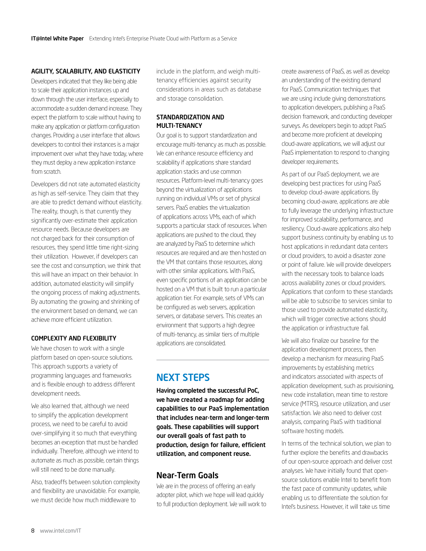#### <span id="page-7-0"></span>AGILITY, SCALABILITY, AND ELASTICITY

Developers indicated that they like being able to scale their application instances up and down through the user interface, especially to accommodate a sudden demand increase. They expect the platform to scale without having to make any application or platform configuration changes. Providing a user interface that allows developers to control their instances is a major improvement over what they have today, where they must deploy a new application instance from scratch.

Developers did not rate automated elasticity as high as self-service. They claim that they are able to predict demand without elasticity. The reality, though, is that currently they significantly over-estimate their application resource needs. Because developers are not charged back for their consumption of resources, they spend little time right-sizing their utilization. However, if developers can see the cost and consumption, we think that this will have an impact on their behavior. In addition, automated elasticity will simplify the ongoing process of making adjustments. By automating the growing and shrinking of the environment based on demand, we can achieve more efficient utilization.

#### COMPLEXITY AND FLEXIBILITY

We have chosen to work with a single platform based on open-source solutions. This approach supports a variety of programming languages and frameworks and is flexible enough to address different development needs.

We also learned that, although we need to simplify the application development process, we need to be careful to avoid over-simplifying it so much that everything becomes an exception that must be handled individually. Therefore, although we intend to automate as much as possible, certain things will still need to be done manually.

Also, tradeoffs between solution complexity and flexibility are unavoidable. For example, we must decide how much middleware to

include in the platform, and weigh multitenancy efficiencies against security considerations in areas such as database and storage consolidation.

#### STANDARDIZATION AND MULTI-TENANCY

Our goal is to support standardization and encourage multi-tenancy as much as possible. We can enhance resource efficiency and scalability if applications share standard application stacks and use common resources. Platform-level multi-tenancy goes beyond the virtualization of applications running on individual VMs or set of physical servers. PaaS enables the virtualization of applications across VMs, each of which supports a particular stack of resources. When applications are pushed to the cloud, they are analyzed by PaaS to determine which resources are required and are then hosted on the VM that contains those resources, along with other similar applications. With PaaS, even specific portions of an application can be hosted on a VM that is built to run a particular application tier. For example, sets of VMs can be configured as web servers, application servers, or database servers. This creates an environment that supports a high degree of multi-tenancy, as similar tiers of multiple applications are consolidated.

# NEXT STEPS

Having completed the successful PoC, we have created a roadmap for adding capabilities to our PaaS implementation that includes near-term and longer-term goals. These capabilities will support our overall goals of fast path to production, design for failure, efficient utilization, and component reuse.

### Near-Term Goals

We are in the process of offering an early adopter pilot, which we hope will lead quickly to full production deployment. We will work to

create awareness of PaaS, as well as develop an understanding of the existing demand for PaaS. Communication techniques that we are using include giving demonstrations to application developers, publishing a PaaS decision framework, and conducting developer surveys. As developers begin to adopt PaaS and become more proficient at developing cloud-aware applications, we will adjust our PaaS implementation to respond to changing developer requirements.

As part of our PaaS deployment, we are developing best practices for using PaaS to develop cloud-aware applications. By becoming cloud-aware, applications are able to fully leverage the underlying infrastructure for improved scalability, performance, and resiliency. Cloud-aware applications also help support business continuity by enabling us to host applications in redundant data centers or cloud providers, to avoid a disaster zone or point of failure. We will provide developers with the necessary tools to balance loads across availability zones or cloud providers. Applications that conform to these standards will be able to subscribe to services similar to those used to provide automated elasticity, which will trigger corrective actions should the application or infrastructure fail.

We will also finalize our baseline for the application development process, then develop a mechanism for measuring PaaS improvements by establishing metrics and indicators associated with aspects of application development, such as provisioning, new code installation, mean time to restore service (MTRS), resource utilization, and user satisfaction. We also need to deliver cost analysis, comparing PaaS with traditional software hosting models.

In terms of the technical solution, we plan to further explore the benefits and drawbacks of our open-source approach and deliver cost analyses. We have initially found that opensource solutions enable Intel to benefit from the fast pace of community updates, while enabling us to differentiate the solution for Intel's business. However, it will take us time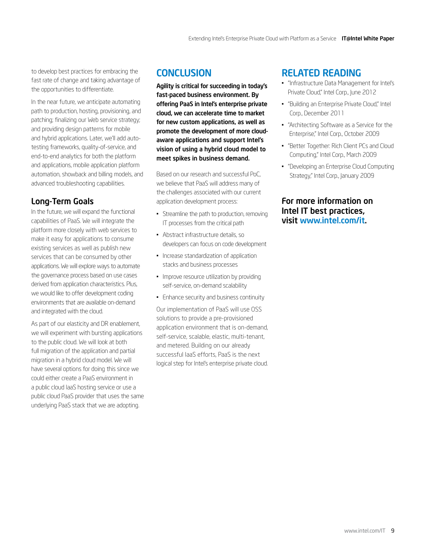<span id="page-8-0"></span>to develop best practices for embracing the fast rate of change and taking advantage of the opportunities to differentiate.

In the near future, we anticipate automating path to production, hosting, provisioning, and patching; finalizing our Web service strategy; and providing design patterns for mobile and hybrid applications. Later, we'll add autotesting frameworks, quality-of-service, and end-to-end analytics for both the platform and applications, mobile application platform automation, showback and billing models, and advanced troubleshooting capabilities.

# Long-Term Goals

In the future, we will expand the functional capabilities of PaaS. We will integrate the platform more closely with web services to make it easy for applications to consume existing services as well as publish new services that can be consumed by other applications. We will explore ways to automate the governance process based on use cases derived from application characteristics. Plus, we would like to offer development coding environments that are available on-demand and integrated with the cloud.

As part of our elasticity and DR enablement, we will experiment with bursting applications to the public cloud. We will look at both full migration of the application and partial migration in a hybrid cloud model. We will have several options for doing this since we could either create a PaaS environment in a public cloud IaaS hosting service or use a public cloud PaaS provider that uses the same underlying PaaS stack that we are adopting.

# **CONCLUSION**

Agility is critical for succeeding in today's fast-paced business environment. By offering PaaS in Intel's enterprise private cloud, we can accelerate time to market for new custom applications, as well as promote the development of more cloudaware applications and support Intel's vision of using a hybrid cloud model to meet spikes in business demand.

Based on our research and successful PoC, we believe that PaaS will address many of the challenges associated with our current application development process:

- Streamline the path to production, removing IT processes from the critical path
- • Abstract infrastructure details, so developers can focus on code development
- Increase standardization of application stacks and business processes
- Improve resource utilization by providing self-service, on-demand scalability
- Enhance security and business continuity

Our implementation of PaaS will use OSS solutions to provide a pre-provisioned application environment that is on-demand, self-service, scalable, elastic, multi-tenant, and metered. Building on our already successful IaaS efforts, PaaS is the next logical step for Intel's enterprise private cloud.

# RELATED READING

- • "Infrastructure Data Management for Intel's Private Cloud," Intel Corp., June 2012
- • "Building an Enterprise Private Cloud," Intel Corp., December 2011
- • "Architecting Software as a Service for the Enterprise," Intel Corp., October 2009
- • "Better Together: Rich Client PCs and Cloud Computing," Intel Corp., March 2009
- "Developing an Enterprise Cloud Computing Strategy," Intel Corp., January 2009

### For more information on Intel IT best practices, visit [www.intel.com/it](http://www.intel.com/IT).